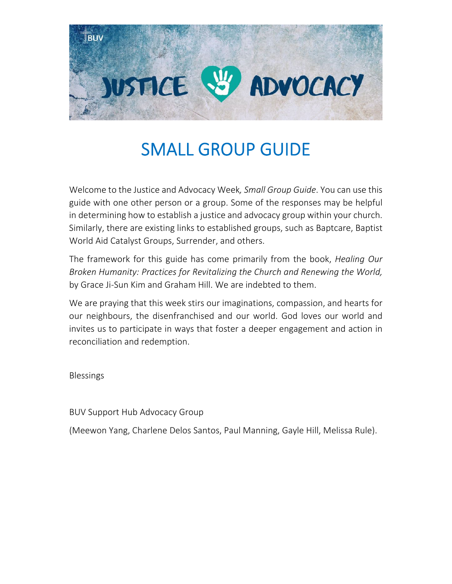

### SMALL GROUP GUIDE

Welcome to the Justice and Advocacy Week*, Small Group Guide*. You can use this guide with one other person or a group. Some of the responses may be helpful in determining how to establish a justice and advocacy group within your church. Similarly, there are existing links to established groups, such as Baptcare, Baptist World Aid Catalyst Groups, Surrender, and others.

The framework for this guide has come primarily from the book, *Healing Our Broken Humanity: Practices for Revitalizing the Church and Renewing the World,* by Grace Ji‐Sun Kim and Graham Hill. We are indebted to them.

We are praying that this week stirs our imaginations, compassion, and hearts for our neighbours, the disenfranchised and our world. God loves our world and invites us to participate in ways that foster a deeper engagement and action in reconciliation and redemption.

Blessings

BUV Support Hub Advocacy Group

(Meewon Yang, Charlene Delos Santos, Paul Manning, Gayle Hill, Melissa Rule).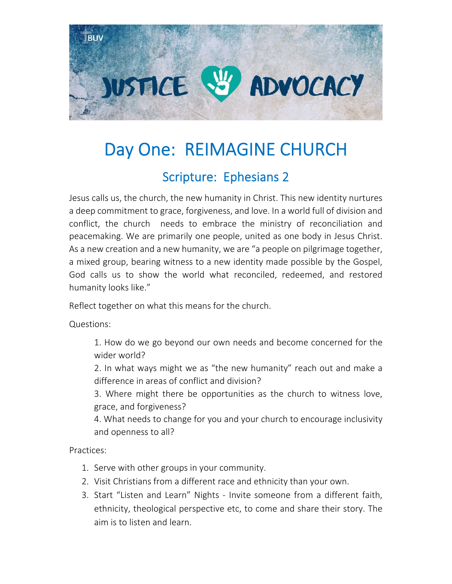

# Day One: REIMAGINE CHURCH

#### Scripture: Ephesians 2

Jesus calls us, the church, the new humanity in Christ. This new identity nurtures a deep commitment to grace, forgiveness, and love. In a world full of division and conflict, the church needs to embrace the ministry of reconciliation and peacemaking. We are primarily one people, united as one body in Jesus Christ. As a new creation and a new humanity, we are "a people on pilgrimage together, a mixed group, bearing witness to a new identity made possible by the Gospel, God calls us to show the world what reconciled, redeemed, and restored humanity looks like."

Reflect together on what this means for the church.

Questions:

1. How do we go beyond our own needs and become concerned for the wider world?

2. In what ways might we as "the new humanity" reach out and make a difference in areas of conflict and division?

3. Where might there be opportunities as the church to witness love, grace, and forgiveness?

4. What needs to change for you and your church to encourage inclusivity and openness to all?

- 1. Serve with other groups in your community.
- 2. Visit Christians from a different race and ethnicity than your own.
- 3. Start "Listen and Learn" Nights ‐ Invite someone from a different faith, ethnicity, theological perspective etc, to come and share their story. The aim is to listen and learn.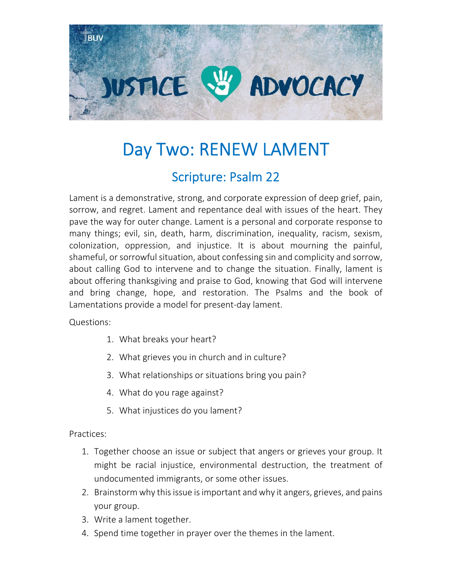

# Day Two: RENEW LAMENT

#### Scripture: Psalm 22

Lament is a demonstrative, strong, and corporate expression of deep grief, pain, sorrow, and regret. Lament and repentance deal with issues of the heart. They pave the way for outer change. Lament is a personal and corporate response to many things; evil, sin, death, harm, discrimination, inequality, racism, sexism, colonization, oppression, and injustice. It is about mourning the painful, shameful, or sorrowful situation, about confessing sin and complicity and sorrow, about calling God to intervene and to change the situation. Finally, lament is about offering thanksgiving and praise to God, knowing that God will intervene and bring change, hope, and restoration. The Psalms and the book of Lamentations provide a model for present‐day lament.

Questions:

- 1. What breaks your heart?
- 2. What grieves you in church and in culture?
- 3. What relationships or situations bring you pain?
- 4. What do you rage against?
- 5. What injustices do you lament?

- 1. Together choose an issue or subject that angers or grieves your group. It might be racial injustice, environmental destruction, the treatment of undocumented immigrants, or some other issues.
- 2. Brainstorm why this issue is important and why it angers, grieves, and pains your group.
- 3. Write a lament together.
- 4. Spend time together in prayer over the themes in the lament.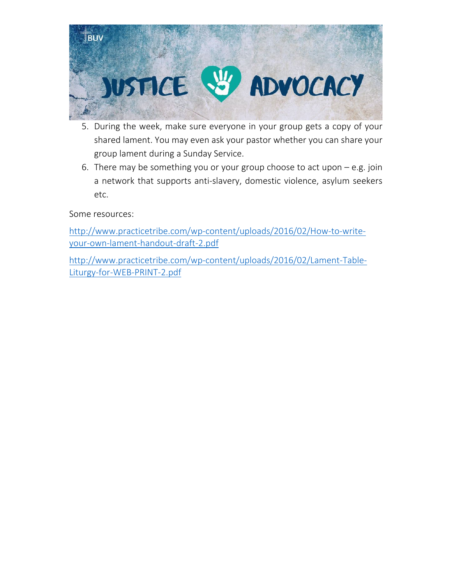

- 5. During the week, make sure everyone in your group gets a copy of your shared lament. You may even ask your pastor whether you can share your group lament during a Sunday Service.
- 6. There may be something you or your group choose to act upon e.g. join a network that supports anti‐slavery, domestic violence, asylum seekers etc.

Some resources:

http://www.practicetribe.com/wp‐content/uploads/2016/02/How‐to‐write‐ your‐own‐lament‐handout‐draft‐2.pdf

http://www.practicetribe.com/wp‐content/uploads/2016/02/Lament‐Table‐ Liturgy‐for‐WEB‐PRINT‐2.pdf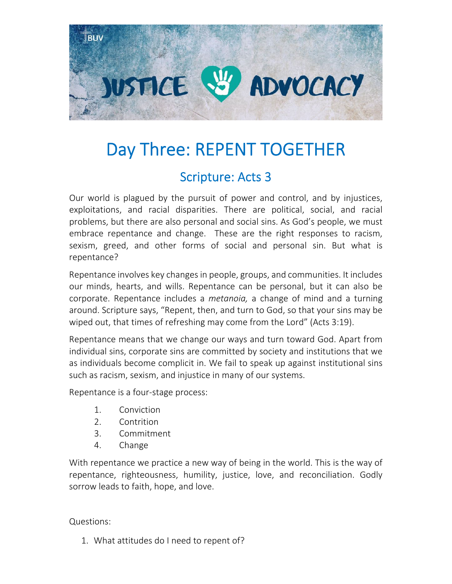

## Day Three: REPENT TOGETHER

#### Scripture: Acts 3

Our world is plagued by the pursuit of power and control, and by injustices, exploitations, and racial disparities. There are political, social, and racial problems, but there are also personal and social sins. As God's people, we must embrace repentance and change. These are the right responses to racism, sexism, greed, and other forms of social and personal sin. But what is repentance?

Repentance involves key changes in people, groups, and communities. It includes our minds, hearts, and wills. Repentance can be personal, but it can also be corporate. Repentance includes a *metanoia,* a change of mind and a turning around. Scripture says, "Repent, then, and turn to God, so that your sins may be wiped out, that times of refreshing may come from the Lord" (Acts 3:19).

Repentance means that we change our ways and turn toward God. Apart from individual sins, corporate sins are committed by society and institutions that we as individuals become complicit in. We fail to speak up against institutional sins such as racism, sexism, and injustice in many of our systems.

Repentance is a four‐stage process:

- 1. Conviction
- 2. Contrition
- 3. Commitment
- 4. Change

With repentance we practice a new way of being in the world. This is the way of repentance, righteousness, humility, justice, love, and reconciliation. Godly sorrow leads to faith, hope, and love.

Questions:

1. What attitudes do I need to repent of?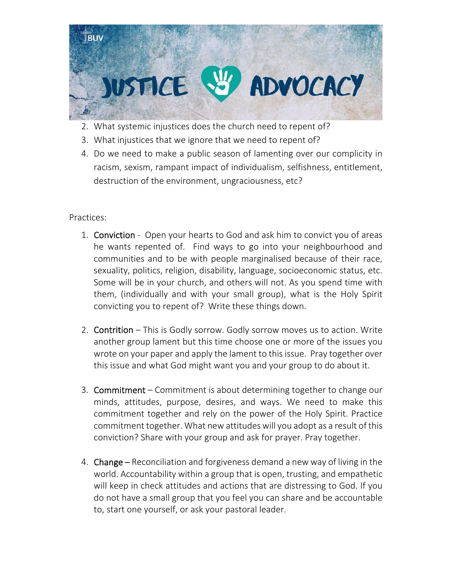

- 2. What systemic injustices does the church need to repent of?
- 3. What injustices that we ignore that we need to repent of?
- 4. Do we need to make a public season of lamenting over our complicity in racism, sexism, rampant impact of individualism, selfishness, entitlement, destruction of the environment, ungraciousness, etc?

- 1. Conviction Open your hearts to God and ask him to convict you of areas he wants repented of. Find ways to go into your neighbourhood and communities and to be with people marginalised because of their race, sexuality, politics, religion, disability, language, socioeconomic status, etc. Some will be in your church, and others will not. As you spend time with them, (individually and with your small group), what is the Holy Spirit convicting you to repent of? Write these things down.
- 2. **Contrition** This is Godly sorrow. Godly sorrow moves us to action. Write another group lament but this time choose one or more of the issues you wrote on your paper and apply the lament to thisissue. Pray together over this issue and what God might want you and your group to do about it.
- 3. Commitment Commitment is about determining together to change our minds, attitudes, purpose, desires, and ways. We need to make this commitment together and rely on the power of the Holy Spirit. Practice commitment together. What new attitudes will you adopt as a result of this conviction? Share with your group and ask for prayer. Pray together.
- 4. Change Reconciliation and forgiveness demand a new way of living in the world. Accountability within a group that is open, trusting, and empathetic will keep in check attitudes and actions that are distressing to God. If you do not have a small group that you feel you can share and be accountable to, start one yourself, or ask your pastoral leader.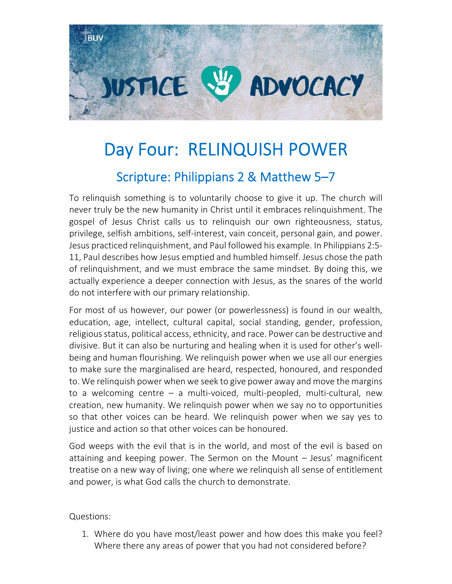

# Day Four: RELINQUISH POWER Scripture: Philippians 2 & Matthew 5–7

To relinquish something is to voluntarily choose to give it up. The church will never truly be the new humanity in Christ until it embraces relinquishment. The gospel of Jesus Christ calls us to relinquish our own righteousness, status, privilege, selfish ambitions, self‐interest, vain conceit, personal gain, and power. Jesus practiced relinquishment, and Paul followed his example. In Philippians 2:5‐ 11, Paul describes how Jesus emptied and humbled himself. Jesus chose the path of relinquishment, and we must embrace the same mindset. By doing this, we actually experience a deeper connection with Jesus, as the snares of the world do not interfere with our primary relationship.

For most of us however, our power (or powerlessness) is found in our wealth, education, age, intellect, cultural capital, social standing, gender, profession, religious status, political access, ethnicity, and race. Power can be destructive and divisive. But it can also be nurturing and healing when it is used for other's well‐ being and human flourishing. We relinquish power when we use all our energies to make sure the marginalised are heard, respected, honoured, and responded to. We relinquish power when we seek to give power away and move the margins to a welcoming centre – a multi‐voiced, multi‐peopled, multi‐cultural, new creation, new humanity. We relinquish power when we say no to opportunities so that other voices can be heard. We relinquish power when we say yes to justice and action so that other voices can be honoured.

God weeps with the evil that is in the world, and most of the evil is based on attaining and keeping power. The Sermon on the Mount – Jesus' magnificent treatise on a new way of living; one where we relinquish all sense of entitlement and power, is what God calls the church to demonstrate.

Questions:

1. Where do you have most/least power and how does this make you feel? Where there any areas of power that you had not considered before?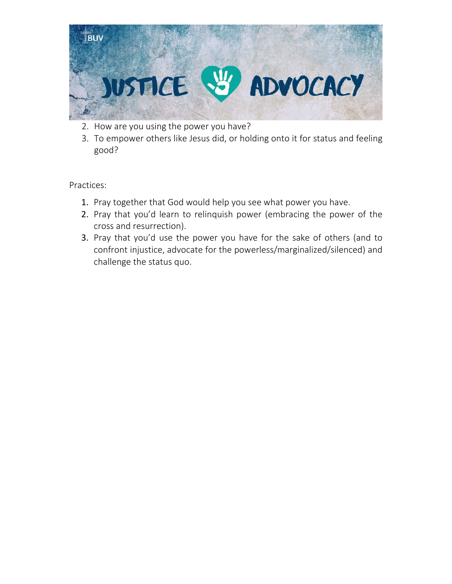

- 2. How are you using the power you have?
- 3. To empower others like Jesus did, or holding onto it for status and feeling good?

- 1. Pray together that God would help you see what power you have.
- 2. Pray that you'd learn to relinquish power (embracing the power of the cross and resurrection).
- 3. Pray that you'd use the power you have for the sake of others (and to confront injustice, advocate for the powerless/marginalized/silenced) and challenge the status quo.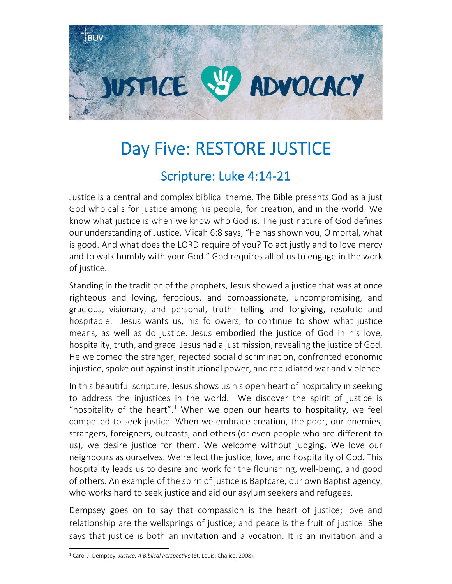

## Day Five: RESTORE JUSTICE

#### Scripture: Luke 4:14‐21

Justice is a central and complex biblical theme. The Bible presents God as a just God who calls for justice among his people, for creation, and in the world. We know what justice is when we know who God is. The just nature of God defines our understanding of Justice. Micah 6:8 says, "He has shown you, O mortal, what is good. And what does the LORD require of you? To act justly and to love mercy and to walk humbly with your God." God requires all of us to engage in the work of justice.

Standing in the tradition of the prophets, Jesus showed a justice that was at once righteous and loving, ferocious, and compassionate, uncompromising, and gracious, visionary, and personal, truth‐ telling and forgiving, resolute and hospitable. Jesus wants us, his followers, to continue to show what justice means, as well as do justice. Jesus embodied the justice of God in his love, hospitality, truth, and grace. Jesus had a just mission, revealing the justice of God. He welcomed the stranger, rejected social discrimination, confronted economic injustice, spoke out against institutional power, and repudiated war and violence.

In this beautiful scripture, Jesus shows us his open heart of hospitality in seeking to address the injustices in the world. We discover the spirit of justice is "hospitality of the heart".<sup>1</sup> When we open our hearts to hospitality, we feel compelled to seek justice. When we embrace creation, the poor, our enemies, strangers, foreigners, outcasts, and others (or even people who are different to us), we desire justice for them. We welcome without judging. We love our neighbours as ourselves. We reflect the justice, love, and hospitality of God. This hospitality leads us to desire and work for the flourishing, well‐being, and good of others. An example of the spirit of justice is Baptcare, our own Baptist agency, who works hard to seek justice and aid our asylum seekers and refugees.

Dempsey goes on to say that compassion is the heart of justice; love and relationship are the wellsprings of justice; and peace is the fruit of justice. She says that justice is both an invitation and a vocation. It is an invitation and a

<sup>1</sup> Carol J. Dempsey*, Justice: A Biblical Perspective* (St. Louis: Chalice, 2008).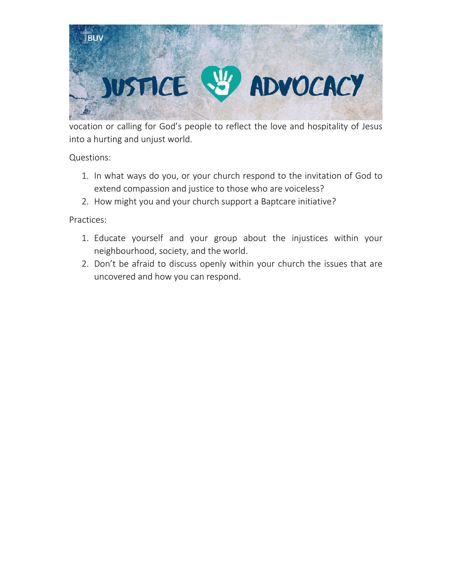

vocation or calling for God's people to reflect the love and hospitality of Jesus into a hurting and unjust world.

Questions:

- 1. In what ways do you, or your church respond to the invitation of God to extend compassion and justice to those who are voiceless?
- 2. How might you and your church support a Baptcare initiative?

- 1. Educate yourself and your group about the injustices within your neighbourhood, society, and the world.
- 2. Don't be afraid to discuss openly within your church the issues that are uncovered and how you can respond.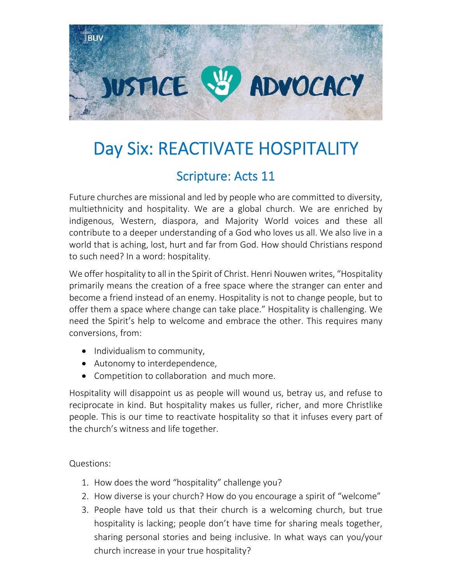

## Day Six: REACTIVATE HOSPITALITY

#### Scripture: Acts 11

Future churches are missional and led by people who are committed to diversity, multiethnicity and hospitality. We are a global church. We are enriched by indigenous, Western, diaspora, and Majority World voices and these all contribute to a deeper understanding of a God who loves us all. We also live in a world that is aching, lost, hurt and far from God. How should Christians respond to such need? In a word: hospitality.

We offer hospitality to all in the Spirit of Christ. Henri Nouwen writes, "Hospitality primarily means the creation of a free space where the stranger can enter and become a friend instead of an enemy. Hospitality is not to change people, but to offer them a space where change can take place." Hospitality is challenging. We need the Spirit's help to welcome and embrace the other. This requires many conversions, from:

- Individualism to community,
- Autonomy to interdependence,
- Competition to collaboration and much more.

Hospitality will disappoint us as people will wound us, betray us, and refuse to reciprocate in kind. But hospitality makes us fuller, richer, and more Christlike people. This is our time to reactivate hospitality so that it infuses every part of the church's witness and life together.

Questions:

- 1. How does the word "hospitality" challenge you?
- 2. How diverse is your church? How do you encourage a spirit of "welcome"
- 3. People have told us that their church is a welcoming church, but true hospitality is lacking; people don't have time for sharing meals together, sharing personal stories and being inclusive. In what ways can you/your church increase in your true hospitality?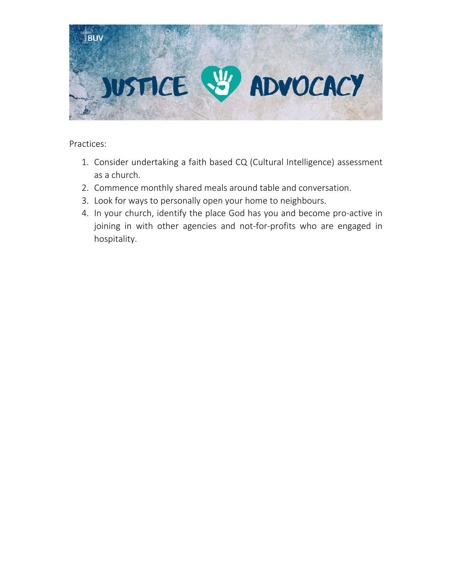

- 1. Consider undertaking a faith based CQ (Cultural Intelligence) assessment as a church.
- 2. Commence monthly shared meals around table and conversation.
- 3. Look for ways to personally open your home to neighbours.
- 4. In your church, identify the place God has you and become pro‐active in joining in with other agencies and not-for-profits who are engaged in hospitality.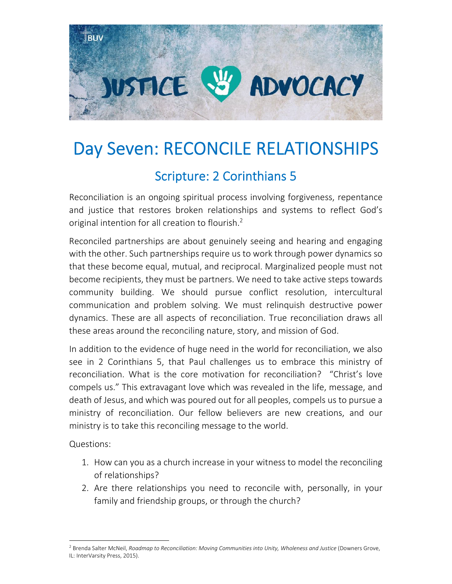

## Day Seven: RECONCILE RELATIONSHIPS

#### Scripture: 2 Corinthians 5

Reconciliation is an ongoing spiritual process involving forgiveness, repentance and justice that restores broken relationships and systems to reflect God's original intention for all creation to flourish.<sup>2</sup>

Reconciled partnerships are about genuinely seeing and hearing and engaging with the other. Such partnerships require us to work through power dynamics so that these become equal, mutual, and reciprocal. Marginalized people must not become recipients, they must be partners. We need to take active steps towards community building. We should pursue conflict resolution, intercultural communication and problem solving. We must relinquish destructive power dynamics. These are all aspects of reconciliation. True reconciliation draws all these areas around the reconciling nature, story, and mission of God.

In addition to the evidence of huge need in the world for reconciliation, we also see in 2 Corinthians 5, that Paul challenges us to embrace this ministry of reconciliation. What is the core motivation for reconciliation? "Christ's love compels us." This extravagant love which was revealed in the life, message, and death of Jesus, and which was poured out for all peoples, compels us to pursue a ministry of reconciliation. Our fellow believers are new creations, and our ministry is to take this reconciling message to the world.

Questions:

- 1. How can you as a church increase in your witness to model the reconciling of relationships?
- 2. Are there relationships you need to reconcile with, personally, in your family and friendship groups, or through the church?

<sup>2</sup> Brenda Salter McNeil, *Roadmap to Reconciliation: Moving Communities into Unity, Wholeness and Justice* (Downers Grove, IL: InterVarsity Press, 2015).